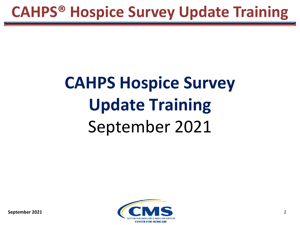# **CAHPS Hospice Survey Update Training** September 2021

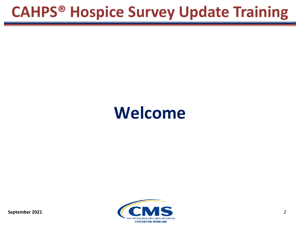### **Welcome**

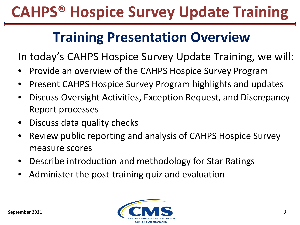#### **Training Presentation Overview**

In today's CAHPS Hospice Survey Update Training, we will:

- Provide an overview of the CAHPS Hospice Survey Program
- Present CAHPS Hospice Survey Program highlights and updates
- Discuss Oversight Activities, Exception Request, and Discrepancy Report processes
- Discuss data quality checks
- Review public reporting and analysis of CAHPS Hospice Survey measure scores
- Describe introduction and methodology for Star Ratings
- Administer the post-training quiz and evaluation

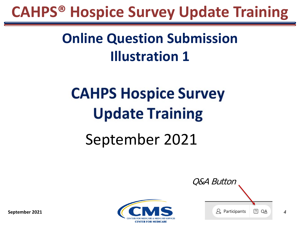### **Online Question Submission Illustration 1**

# **CAHPS Hospice Survey Update Training**

### September 2021



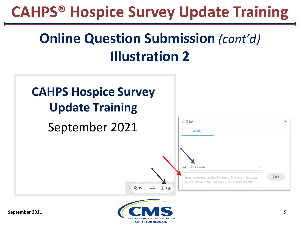### **Online Question Submission** *(cont'd)* **Illustration 2**





**September 2021**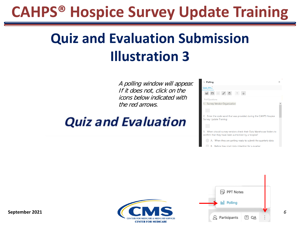### **Quiz and Evaluation Submission Illustration 3**

A polling window will appear. If it does not, click on the icons below indicated with the red arrows.

#### **Quiz and Evaluation**

| $\vee$ Polling                                                                                                              | $\times$ |  |  |  |
|-----------------------------------------------------------------------------------------------------------------------------|----------|--|--|--|
| Quiz_FIN                                                                                                                    |          |  |  |  |
| 日日ノう<br><b>De9</b>                                                                                                          |          |  |  |  |
| Poll Ouestions:                                                                                                             |          |  |  |  |
| 1. Survey Vendor Organization                                                                                               |          |  |  |  |
|                                                                                                                             |          |  |  |  |
| 2. Enter the code word that was provided during the CAHPS Hospice<br>Survey Update Training:                                |          |  |  |  |
|                                                                                                                             |          |  |  |  |
| 3. When should survey vendors check their Data Warehouse folders to<br>confirm that they have been authorized by a hospice? |          |  |  |  |
| A. When they are getting ready to submit the quarterly data                                                                 |          |  |  |  |
| B. Before they start data collection for a quarter                                                                          |          |  |  |  |



**September 2021**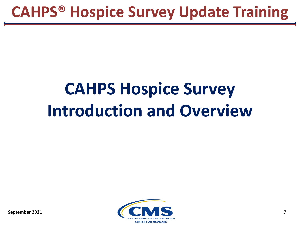# **CAHPS Hospice Survey Introduction and Overview**

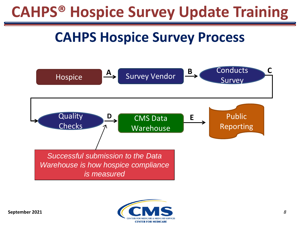#### **CAHPS Hospice Survey Process**



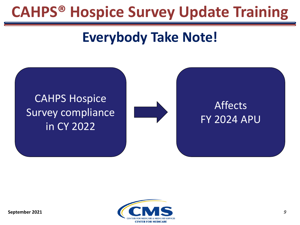#### **Everybody Take Note!**

#### CAHPS Hospice Survey compliance in CY 2022



#### Affects FY 2024 APU

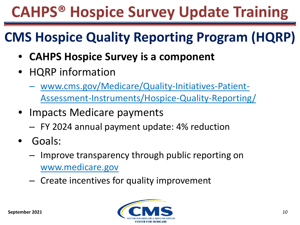#### **CMS Hospice Quality Reporting Program (HQRP)**

- **CAHPS Hospice Survey is a component**
- HQRP information
	- ‒ www.cms.gov/Medicare/Quality-Initiatives-Patient-[Assessment-Instruments/Hospice-Quality-Reporting/](http://www.cms.gov/Medicare/Quality-Initiatives-Patient-Assessment-Instruments/Hospice-Quality-Reporting/)
- Impacts Medicare payments
	- ‒ FY 2024 annual payment update: 4% reduction
- Goals:
	- ‒ Improve transparency through public reporting on [www.medicare.gov](http://www.medicare.gov/)
	- ‒ Create incentives for quality improvement

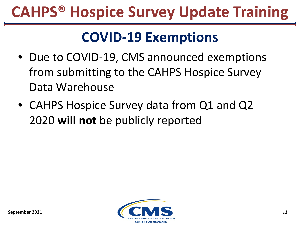#### **COVID-19 Exemptions**

- Due to COVID-19, CMS announced exemptions from submitting to the CAHPS Hospice Survey Data Warehouse
- CAHPS Hospice Survey data from Q1 and Q2 2020 **will not** be publicly reported

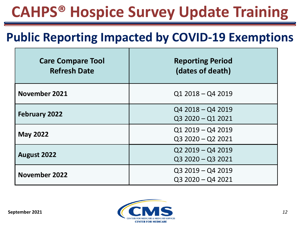#### **Public Reporting Impacted by COVID-19 Exemptions**

| <b>Care Compare Tool</b><br><b>Refresh Date</b> | <b>Reporting Period</b><br>(dates of death) |
|-------------------------------------------------|---------------------------------------------|
| November 2021                                   | $Q12018 - Q42019$                           |
| <b>February 2022</b>                            | $Q42018 - Q42019$<br>Q3 2020 - Q1 2021      |
| <b>May 2022</b>                                 | $Q12019 - Q42019$<br>$Q32020 - Q22021$      |
| <b>August 2022</b>                              | $Q22019 - Q42019$<br>$Q32020 - Q32021$      |
| <b>November 2022</b>                            | $Q32019 - Q42019$<br>$Q32020 - Q42021$      |

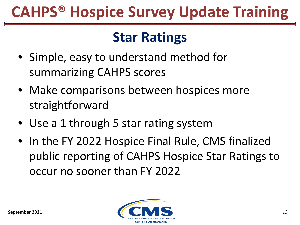#### **Star Ratings**

- Simple, easy to understand method for summarizing CAHPS scores
- Make comparisons between hospices more straightforward
- Use a 1 through 5 star rating system
- In the FY 2022 Hospice Final Rule, CMS finalized public reporting of CAHPS Hospice Star Ratings to occur no sooner than FY 2022

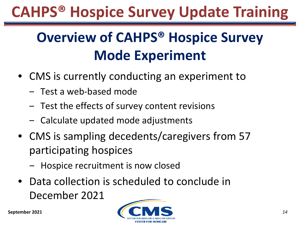### **Overview of CAHPS® Hospice Survey Mode Experiment**

- CMS is currently conducting an experiment to
	- ‒ Test a web-based mode
	- ‒ Test the effects of survey content revisions
	- Calculate updated mode adjustments
- CMS is sampling decedents/caregivers from 57 participating hospices
	- Hospice recruitment is now closed
- Data collection is scheduled to conclude in December 2021

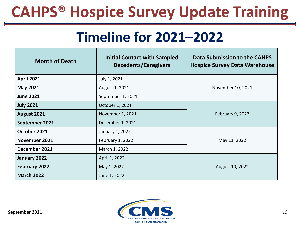#### **Timeline for 2021–2022**

| <b>Month of Death</b> | <b>Initial Contact with Sampled</b><br><b>Decedents/Caregivers</b> | Data Submission to the CAHPS<br><b>Hospice Survey Data Warehouse</b> |  |
|-----------------------|--------------------------------------------------------------------|----------------------------------------------------------------------|--|
| <b>April 2021</b>     | July 1, 2021                                                       | November 10, 2021                                                    |  |
| <b>May 2021</b>       | August 1, 2021                                                     |                                                                      |  |
| <b>June 2021</b>      | September 1, 2021                                                  |                                                                      |  |
| <b>July 2021</b>      | October 1, 2021                                                    |                                                                      |  |
| August 2021           | November 1, 2021                                                   | February 9, 2022                                                     |  |
| September 2021        | December 1, 2021                                                   |                                                                      |  |
| October 2021          | January 1, 2022                                                    |                                                                      |  |
| November 2021         | February 1, 2022<br>May 11, 2022                                   |                                                                      |  |
| December 2021         | March 1, 2022                                                      |                                                                      |  |
| January 2022          | April 1, 2022                                                      |                                                                      |  |
| February 2022         | May 1, 2022                                                        | August 10, 2022                                                      |  |
| <b>March 2022</b>     | June 1, 2022                                                       |                                                                      |  |

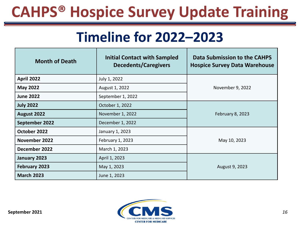#### **Timeline for 2022–2023**

| <b>Month of Death</b>             | <b>Initial Contact with Sampled</b><br><b>Decedents/Caregivers</b> | Data Submission to the CAHPS<br><b>Hospice Survey Data Warehouse</b> |  |
|-----------------------------------|--------------------------------------------------------------------|----------------------------------------------------------------------|--|
| <b>April 2022</b>                 | July 1, 2022                                                       | November 9, 2022                                                     |  |
| <b>May 2022</b>                   | August 1, 2022                                                     |                                                                      |  |
| <b>June 2022</b>                  | September 1, 2022                                                  |                                                                      |  |
| <b>July 2022</b>                  | October 1, 2022                                                    |                                                                      |  |
| August 2022                       | November 1, 2022                                                   | February 8, 2023                                                     |  |
| September 2022                    | December 1, 2022                                                   |                                                                      |  |
| October 2022                      | January 1, 2023                                                    |                                                                      |  |
| November 2022<br>February 1, 2023 |                                                                    | May 10, 2023                                                         |  |
| December 2022                     | March 1, 2023                                                      |                                                                      |  |
| January 2023                      | April 1, 2023                                                      |                                                                      |  |
| February 2023                     | May 1, 2023                                                        | August 9, 2023                                                       |  |
| <b>March 2023</b>                 | June 1, 2023                                                       |                                                                      |  |

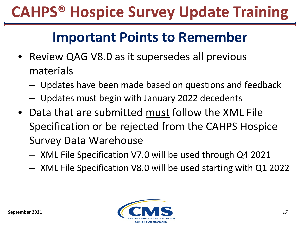#### **Important Points to Remember**

- Review QAG V8.0 as it supersedes all previous materials
	- ‒ Updates have been made based on questions and feedback
	- ‒ Updates must begin with January 2022 decedents
- Data that are submitted must follow the XML File Specification or be rejected from the CAHPS Hospice Survey Data Warehouse
	- ‒ XML File Specification V7.0 will be used through Q4 2021
	- ‒ XML File Specification V8.0 will be used starting with Q1 2022

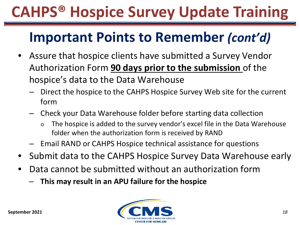#### **Important Points to Remember** *(cont'd)*

- Assure that hospice clients have submitted a Survey Vendor Authorization Form **90 days prior to the submission** of the hospice's data to the Data Warehouse
	- ‒ Direct the hospice to the CAHPS Hospice Survey Web site for the current form
	- ‒ Check your Data Warehouse folder before starting data collection
		- o The hospice is added to the survey vendor's excel file in the Data Warehouse folder when the authorization form is received by RAND
	- ‒ Email RAND or CAHPS Hospice technical assistance for questions
- Submit data to the CAHPS Hospice Survey Data Warehouse early
- Data cannot be submitted without an authorization form
	- ‒ **This may result in an APU failure for the hospice**

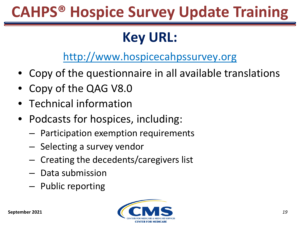#### **Key URL:**

[http://www.hospicecahpssurvey.org](http://www.hospicecahpssurvey.org/)

- Copy of the questionnaire in all available translations
- Copy of the QAG V8.0
- Technical information
- Podcasts for hospices, including:
	- ‒ Participation exemption requirements
	- ‒ Selecting a survey vendor
	- ‒ Creating the decedents/caregivers list
	- ‒ Data submission
	- ‒ Public reporting

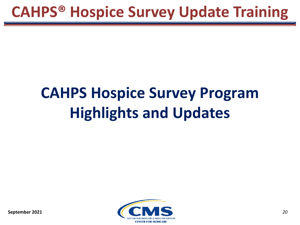# **CAHPS Hospice Survey Program Highlights and Updates**

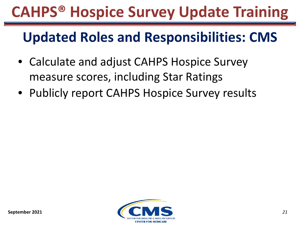#### **Updated Roles and Responsibilities: CMS**

- Calculate and adjust CAHPS Hospice Survey measure scores, including Star Ratings
- Publicly report CAHPS Hospice Survey results

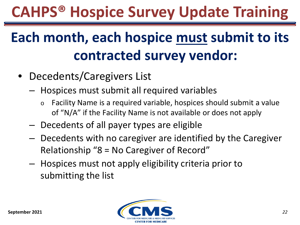### **Each month, each hospice must submit to its contracted survey vendor:**

- Decedents/Caregivers List
	- ‒ Hospices must submit all required variables
		- o Facility Name is a required variable, hospices should submit a value of "N/A" if the Facility Name is not available or does not apply
	- ‒ Decedents of all payer types are eligible
	- ‒ Decedents with no caregiver are identified by the Caregiver Relationship "8 = No Caregiver of Record"
	- ‒ Hospices must not apply eligibility criteria prior to submitting the list

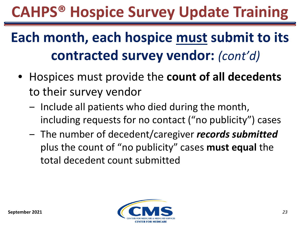### **Each month, each hospice must submit to its contracted survey vendor:** *(cont'd)*

- Hospices must provide the **count of all decedents**  to their survey vendor
	- ‒ Include all patients who died during the month, including requests for no contact ("no publicity") cases
	- ‒ The number of decedent/caregiver *records submitted*  plus the count of "no publicity" cases **must equal** the total decedent count submitted

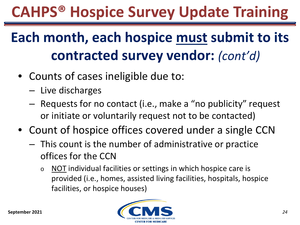### **Each month, each hospice must submit to its contracted survey vendor:** *(cont'd)*

- Counts of cases ineligible due to:
	- ‒ Live discharges
	- Requests for no contact (i.e., make a "no publicity" request or initiate or voluntarily request not to be contacted)
- Count of hospice offices covered under a single CCN
	- ‒ This count is the number of administrative or practice offices for the CCN
		- o NOT individual facilities or settings in which hospice care is provided (i.e., homes, assisted living facilities, hospitals, hospice facilities, or hospice houses)

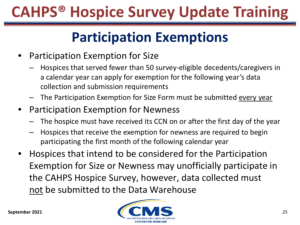### **Participation Exemptions**

- Participation Exemption for Size
	- ‒ Hospices that served fewer than 50 survey-eligible decedents/caregivers in a calendar year can apply for exemption for the following year's data collection and submission requirements
	- ‒ The Participation Exemption for Size Form must be submitted every year
- Participation Exemption for Newness
	- The hospice must have received its CCN on or after the first day of the year
	- ‒ Hospices that receive the exemption for newness are required to begin participating the first month of the following calendar year
- Hospices that intend to be considered for the Participation Exemption for Size or Newness may unofficially participate in the CAHPS Hospice Survey, however, data collected must not be submitted to the Data Warehouse

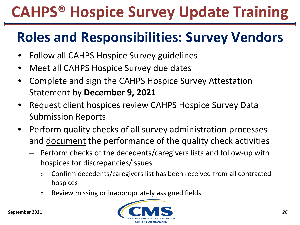### **Roles and Responsibilities: Survey Vendors**

- Follow all CAHPS Hospice Survey guidelines
- Meet all CAHPS Hospice Survey due dates
- Complete and sign the CAHPS Hospice Survey Attestation Statement by **December 9, 2021**
- Request client hospices review CAHPS Hospice Survey Data Submission Reports
- Perform quality checks of all survey administration processes and document the performance of the quality check activities
	- ‒ Perform checks of the decedents/caregivers lists and follow-up with hospices for discrepancies/issues
		- o Confirm decedents/caregivers list has been received from all contracted hospices
		- o Review missing or inappropriately assigned fields

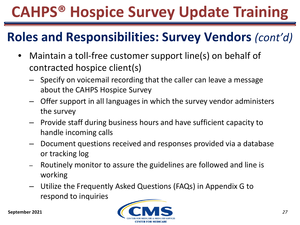#### **Roles and Responsibilities: Survey Vendors** *(cont'd)*

- Maintain a toll-free customer support line(s) on behalf of contracted hospice client(s)
	- ‒ Specify on voicemail recording that the caller can leave a message about the CAHPS Hospice Survey
	- ‒ Offer support in all languages in which the survey vendor administers the survey
	- ‒ Provide staff during business hours and have sufficient capacity to handle incoming calls
	- ‒ Document questions received and responses provided via a database or tracking log
	- ‒ Routinely monitor to assure the guidelines are followed and line is working
	- ‒ Utilize the Frequently Asked Questions (FAQs) in Appendix G to respond to inquiries

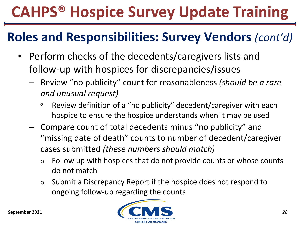#### **Roles and Responsibilities: Survey Vendors** *(cont'd)*

- Perform checks of the decedents/caregivers lists and follow-up with hospices for discrepancies/issues
	- ‒ Review "no publicity" count for reasonableness *(should be a rare and unusual request)*
		- º Review definition of a "no publicity" decedent/caregiver with each hospice to ensure the hospice understands when it may be used
	- ‒ Compare count of total decedents minus "no publicity" and "missing date of death" counts to number of decedent/caregiver cases submitted *(these numbers should match)*
		- o Follow up with hospices that do not provide counts or whose counts do not match
		- o Submit a Discrepancy Report if the hospice does not respond to ongoing follow-up regarding the counts

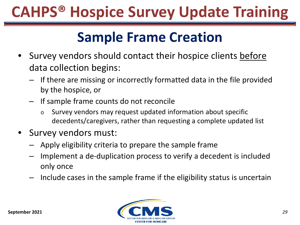#### **Sample Frame Creation**

- Survey vendors should contact their hospice clients before data collection begins:
	- ‒ If there are missing or incorrectly formatted data in the file provided by the hospice, or
	- ‒ If sample frame counts do not reconcile
		- o Survey vendors may request updated information about specific decedents/caregivers, rather than requesting a complete updated list
- Survey vendors must:
	- ‒ Apply eligibility criteria to prepare the sample frame
	- Implement a de-duplication process to verify a decedent is included only once
	- ‒ Include cases in the sample frame if the eligibility status is uncertain

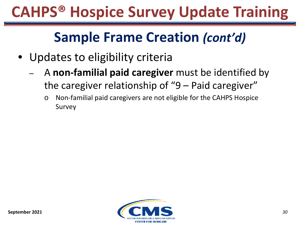#### **Sample Frame Creation** *(cont'd)*

- Updates to eligibility criteria
	- ‒ A **non-familial paid caregiver** must be identified by the caregiver relationship of "9 – Paid caregiver"
		- o Non-familial paid caregivers are not eligible for the CAHPS Hospice Survey

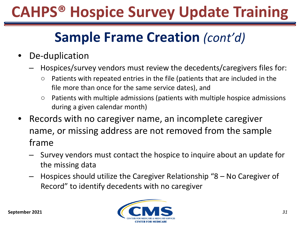### **Sample Frame Creation** *(cont'd)*

- De-duplication
	- ‒ Hospices/survey vendors must review the decedents/caregivers files for:
		- Patients with repeated entries in the file (patients that are included in the file more than once for the same service dates), and
		- Patients with multiple admissions (patients with multiple hospice admissions during a given calendar month)
- Records with no caregiver name, an incomplete caregiver name, or missing address are not removed from the sample frame
	- ‒ Survey vendors must contact the hospice to inquire about an update for the missing data
	- Hospices should utilize the Caregiver Relationship "8 No Caregiver of Record" to identify decedents with no caregiver



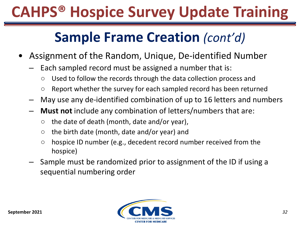#### **Sample Frame Creation** *(cont'd)*

- Assignment of the Random, Unique, De-identified Number
	- Each sampled record must be assigned a number that is:
		- Used to follow the records through the data collection process and
		- Report whether the survey for each sampled record has been returned
	- May use any de-identified combination of up to 16 letters and numbers
	- ‒ **Must not** include any combination of letters/numbers that are:
		- $\circ$  the date of death (month, date and/or year),
		- $\circ$  the birth date (month, date and/or year) and
		- $\circ$  hospice ID number (e.g., decedent record number received from the hospice)
	- ‒ Sample must be randomized prior to assignment of the ID if using a sequential numbering order

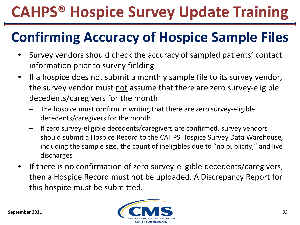### **Confirming Accuracy of Hospice Sample Files**

- Survey vendors should check the accuracy of sampled patients' contact information prior to survey fielding
- If a hospice does not submit a monthly sample file to its survey vendor, the survey vendor must not assume that there are zero survey-eligible decedents/caregivers for the month
	- The hospice must confirm in writing that there are zero survey-eligible decedents/caregivers for the month
	- ‒ If zero survey-eligible decedents/caregivers are confirmed, survey vendors should submit a Hospice Record to the CAHPS Hospice Survey Data Warehouse, including the sample size, the count of ineligibles due to "no publicity," and live discharges
- If there is no confirmation of zero survey-eligible decedents/caregivers, then a Hospice Record must not be uploaded. A Discrepancy Report for this hospice must be submitted.

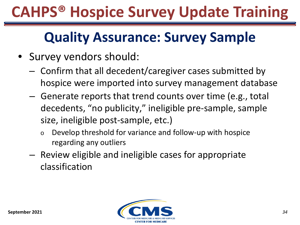### **Quality Assurance: Survey Sample**

- Survey vendors should:
	- ‒ Confirm that all decedent/caregiver cases submitted by hospice were imported into survey management database
	- ‒ Generate reports that trend counts over time (e.g., total decedents, "no publicity," ineligible pre-sample, sample size, ineligible post-sample, etc.)
		- o Develop threshold for variance and follow-up with hospice regarding any outliers
	- ‒ Review eligible and ineligible cases for appropriate classification

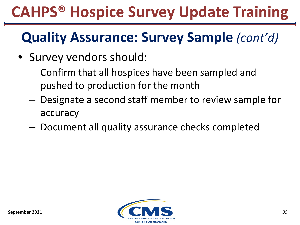### **Quality Assurance: Survey Sample** *(cont'd)*

- Survey vendors should:
	- ‒ Confirm that all hospices have been sampled and pushed to production for the month
	- ‒ Designate a second staff member to review sample for accuracy
	- Document all quality assurance checks completed

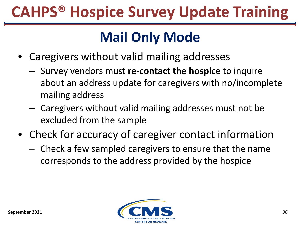### **Mail Only Mode**

- Caregivers without valid mailing addresses
	- ‒ Survey vendors must **re-contact the hospice** to inquire about an address update for caregivers with no/incomplete mailing address
	- ‒ Caregivers without valid mailing addresses must not be excluded from the sample
- Check for accuracy of caregiver contact information
	- ‒ Check a few sampled caregivers to ensure that the name corresponds to the address provided by the hospice

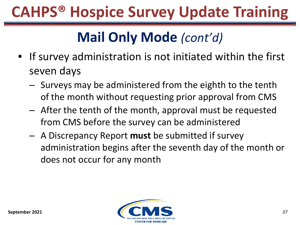- If survey administration is not initiated within the first seven days
	- ‒ Surveys may be administered from the eighth to the tenth of the month without requesting prior approval from CMS
	- ‒ After the tenth of the month, approval must be requested from CMS before the survey can be administered
	- ‒ A Discrepancy Report **must** be submitted if survey administration begins after the seventh day of the month or does not occur for any month

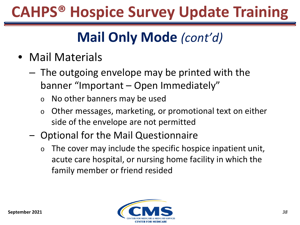- Mail Materials
	- ‒ The outgoing envelope may be printed with the banner "Important – Open Immediately"
		- o No other banners may be used
		- o Other messages, marketing, or promotional text on either side of the envelope are not permitted
	- ‒ Optional for the Mail Questionnaire
		- $\circ$  The cover may include the specific hospice inpatient unit, acute care hospital, or nursing home facility in which the family member or friend resided

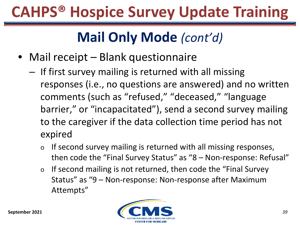- Mail receipt Blank questionnaire
	- ‒ If first survey mailing is returned with all missing responses (i.e., no questions are answered) and no written comments (such as "refused," "deceased," "language barrier," or "incapacitated"), send a second survey mailing to the caregiver if the data collection time period has not expired
		- o If second survey mailing is returned with all missing responses, then code the "Final Survey Status" as "8 – Non-response: Refusal"
		- o If second mailing is not returned, then code the "Final Survey Status" as "9 – Non-response: Non-response after Maximum Attempts"

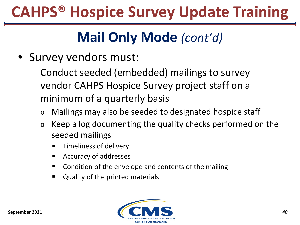- Survey vendors must:
	- ‒ Conduct seeded (embedded) mailings to survey vendor CAHPS Hospice Survey project staff on a minimum of a quarterly basis
		- o Mailings may also be seeded to designated hospice staff
		- o Keep a log documenting the quality checks performed on the seeded mailings
			- Timeliness of delivery
			- Accuracy of addresses
			- Condition of the envelope and contents of the mailing
			- Quality of the printed materials

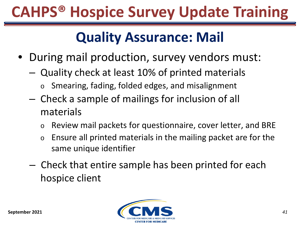#### **Quality Assurance: Mail**

- During mail production, survey vendors must:
	- ‒ Quality check at least 10% of printed materials
		- Smearing, fading, folded edges, and misalignment
	- ‒ Check a sample of mailings for inclusion of all materials
		- o Review mail packets for questionnaire, cover letter, and BRE
		- o Ensure all printed materials in the mailing packet are for the same unique identifier
	- ‒ Check that entire sample has been printed for each hospice client

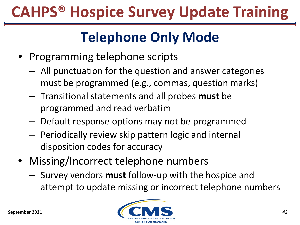### **Telephone Only Mode**

- Programming telephone scripts
	- ‒ All punctuation for the question and answer categories must be programmed (e.g., commas, question marks)
	- ‒ Transitional statements and all probes **must** be programmed and read verbatim
	- ‒ Default response options may not be programmed
	- ‒ Periodically review skip pattern logic and internal disposition codes for accuracy
- Missing/Incorrect telephone numbers
	- ‒ Survey vendors **must** follow-up with the hospice and attempt to update missing or incorrect telephone numbers

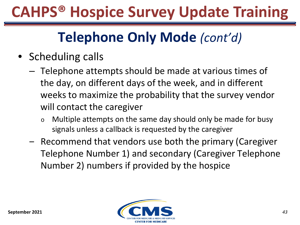- Scheduling calls
	- ‒ Telephone attempts should be made at various times of the day, on different days of the week, and in different weeks to maximize the probability that the survey vendor will contact the caregiver
		- o Multiple attempts on the same day should only be made for busy signals unless a callback is requested by the caregiver
	- ‒ Recommend that vendors use both the primary (Caregiver Telephone Number 1) and secondary (Caregiver Telephone Number 2) numbers if provided by the hospice

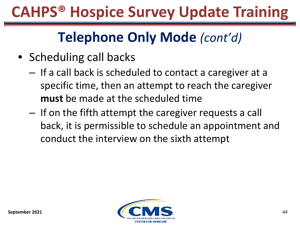- Scheduling call backs
	- ‒ If a call back is scheduled to contact a caregiver at a specific time, then an attempt to reach the caregiver **must** be made at the scheduled time
	- ‒ If on the fifth attempt the caregiver requests a call back, it is permissible to schedule an appointment and conduct the interview on the sixth attempt

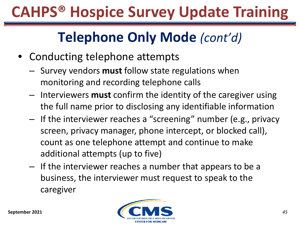- Conducting telephone attempts
	- ‒ Survey vendors **must** follow state regulations when monitoring and recording telephone calls
	- ‒ Interviewers **must** confirm the identity of the caregiver using the full name prior to disclosing any identifiable information
	- ‒ If the interviewer reaches a "screening" number (e.g., privacy screen, privacy manager, phone intercept, or blocked call), count as one telephone attempt and continue to make additional attempts (up to five)
	- ‒ If the interviewer reaches a number that appears to be a business, the interviewer must request to speak to the caregiver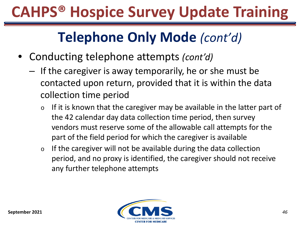- Conducting telephone attempts *(cont'd)*
	- ‒ If the caregiver is away temporarily, he or she must be contacted upon return, provided that it is within the data collection time period
		- $\circ$  If it is known that the caregiver may be available in the latter part of the 42 calendar day data collection time period, then survey vendors must reserve some of the allowable call attempts for the part of the field period for which the caregiver is available
		- $\circ$  If the caregiver will not be available during the data collection period, and no proxy is identified, the caregiver should not receive any further telephone attempts

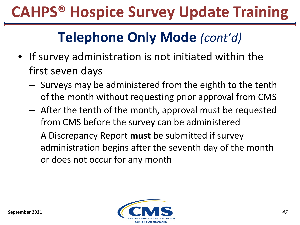- If survey administration is not initiated within the first seven days
	- ‒ Surveys may be administered from the eighth to the tenth of the month without requesting prior approval from CMS
	- ‒ After the tenth of the month, approval must be requested from CMS before the survey can be administered
	- ‒ A Discrepancy Report **must** be submitted if survey administration begins after the seventh day of the month or does not occur for any month

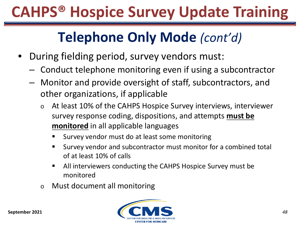- During fielding period, survey vendors must:
	- ‒ Conduct telephone monitoring even if using a subcontractor
	- Monitor and provide oversight of staff, subcontractors, and other organizations, if applicable
		- o At least 10% of the CAHPS Hospice Survey interviews, interviewer survey response coding, dispositions, and attempts **must be monitored** in all applicable languages
			- Survey vendor must do at least some monitoring
			- Survey vendor and subcontractor must monitor for a combined total of at least 10% of calls
			- All interviewers conducting the CAHPS Hospice Survey must be monitored
		- o Must document all monitoring

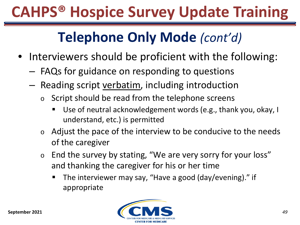- Interviewers should be proficient with the following:
	- $-$  FAQs for guidance on responding to questions
	- Reading script verbatim, including introduction
		- $\circ$  Script should be read from the telephone screens
			- Use of neutral acknowledgement words (e.g., thank you, okay, I understand, etc.) is permitted
		- $\circ$  Adjust the pace of the interview to be conducive to the needs of the caregiver
		- o End the survey by stating, "We are very sorry for your loss" and thanking the caregiver for his or her time
			- The interviewer may say, "Have a good (day/evening)." if appropriate

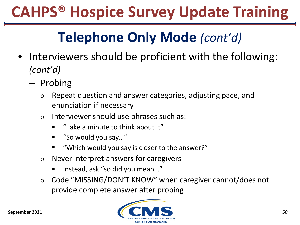- Interviewers should be proficient with the following: *(cont'd)*
	- ‒ Probing
		- o Repeat question and answer categories, adjusting pace, and enunciation if necessary
		- o Interviewer should use phrases such as:
			- "Take a minute to think about it"
			- "So would you say…"
			- "Which would you say is closer to the answer?"
		- o Never interpret answers for caregivers
			- Instead, ask "so did you mean..."
		- o Code "MISSING/DON'T KNOW" when caregiver cannot/does not provide complete answer after probing

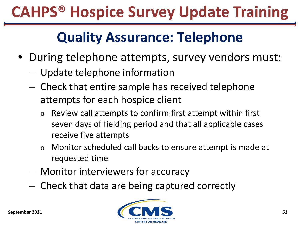#### **Quality Assurance: Telephone**

- During telephone attempts, survey vendors must:
	- ‒ Update telephone information
	- ‒ Check that entire sample has received telephone attempts for each hospice client
		- o Review call attempts to confirm first attempt within first seven days of fielding period and that all applicable cases receive five attempts
		- o Monitor scheduled call backs to ensure attempt is made at requested time
	- ‒ Monitor interviewers for accuracy
	- ‒ Check that data are being captured correctly

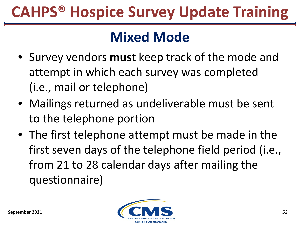#### **Mixed Mode**

- Survey vendors **must** keep track of the mode and attempt in which each survey was completed (i.e., mail or telephone)
- Mailings returned as undeliverable must be sent to the telephone portion
- The first telephone attempt must be made in the first seven days of the telephone field period (i.e., from 21 to 28 calendar days after mailing the questionnaire)

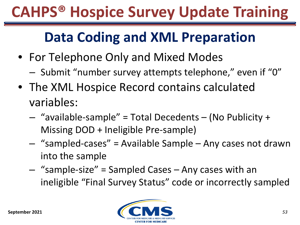### **Data Coding and XML Preparation**

- For Telephone Only and Mixed Modes
	- ‒ Submit "number survey attempts telephone," even if "0"
- The XML Hospice Record contains calculated variables:
	- ‒ "available-sample" = Total Decedents (No Publicity + Missing DOD + Ineligible Pre-sample)
	- ‒ "sampled-cases" = Available Sample Any cases not drawn into the sample
	- ‒ "sample-size" = Sampled Cases Any cases with an ineligible "Final Survey Status" code or incorrectly sampled

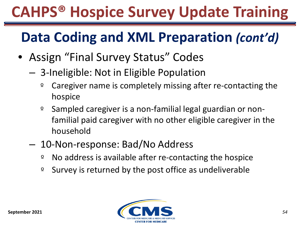### **Data Coding and XML Preparation** *(cont'd)*

- Assign "Final Survey Status" Codes
	- ‒ 3-Ineligible: Not in Eligible Population
		- º Caregiver name is completely missing after re-contacting the hospice
		- º Sampled caregiver is a non-familial legal guardian or nonfamilial paid caregiver with no other eligible caregiver in the household
	- ‒ 10-Non-response: Bad/No Address
		- º No address is available after re-contacting the hospice
		- º Survey is returned by the post office as undeliverable

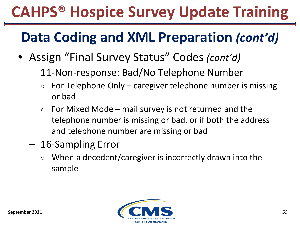### **Data Coding and XML Preparation** *(cont'd)*

- Assign "Final Survey Status" Codes *(cont'd)*
	- 11-Non-response: Bad/No Telephone Number
		- $\circ$  For Telephone Only caregiver telephone number is missing or bad
		- $\circ$  For Mixed Mode mail survey is not returned and the telephone number is missing or bad, or if both the address and telephone number are missing or bad
	- ‒ 16-Sampling Error
		- When a decedent/caregiver is incorrectly drawn into the sample

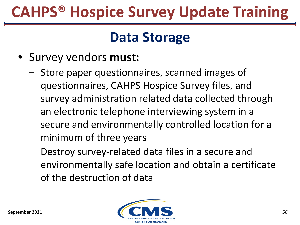#### **Data Storage**

- Survey vendors **must:**
	- Store paper questionnaires, scanned images of questionnaires, CAHPS Hospice Survey files, and survey administration related data collected through an electronic telephone interviewing system in a secure and environmentally controlled location for a minimum of three years
	- ‒ Destroy survey-related data files in a secure and environmentally safe location and obtain a certificate of the destruction of data

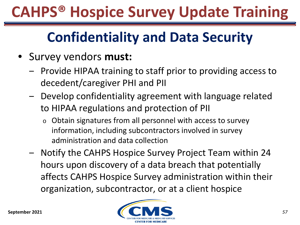### **Confidentiality and Data Security**

- Survey vendors **must:**
	- ‒ Provide HIPAA training to staff prior to providing access to decedent/caregiver PHI and PII
	- Develop confidentiality agreement with language related to HIPAA regulations and protection of PII
		- o Obtain signatures from all personnel with access to survey information, including subcontractors involved in survey administration and data collection
	- ‒ Notify the CAHPS Hospice Survey Project Team within 24 hours upon discovery of a data breach that potentially affects CAHPS Hospice Survey administration within their organization, subcontractor, or at a client hospice

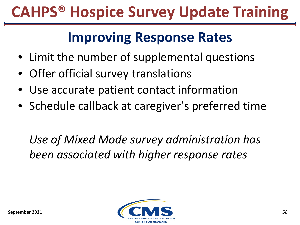#### **Improving Response Rates**

- Limit the number of supplemental questions
- Offer official survey translations
- Use accurate patient contact information
- Schedule callback at caregiver's preferred time

*Use of Mixed Mode survey administration has been associated with higher response rates* 

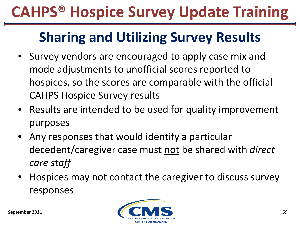### **Sharing and Utilizing Survey Results**

- Survey vendors are encouraged to apply case mix and mode adjustments to unofficial scores reported to hospices, so the scores are comparable with the official CAHPS Hospice Survey results
- Results are intended to be used for quality improvement purposes
- Any responses that would identify a particular decedent/caregiver case must not be shared with *direct care staff*
- Hospices may not contact the caregiver to discuss survey responses

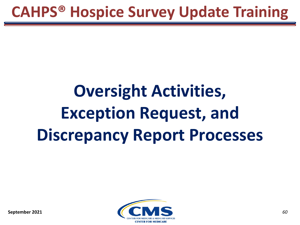# **Oversight Activities, Exception Request, and Discrepancy Report Processes**



**September 2021**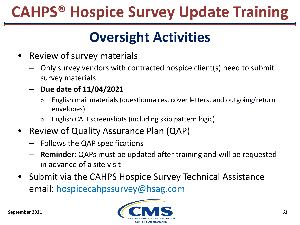### **Oversight Activities**

- Review of survey materials
	- ‒ Only survey vendors with contracted hospice client(s) need to submit survey materials
	- ‒ **Due date of 11/04/2021**
		- o English mail materials (questionnaires, cover letters, and outgoing/return envelopes)
		- o English CATI screenshots (including skip pattern logic)
- Review of Quality Assurance Plan (QAP)
	- ‒ Follows the QAP specifications
	- ‒ **Reminder:** QAPs must be updated after training and will be requested in advance of a site visit
- Submit via the CAHPS Hospice Survey Technical Assistance email: [hospicecahpssurvey@hsag.com](mailto:hospicecahpssurvey@hsag.com)

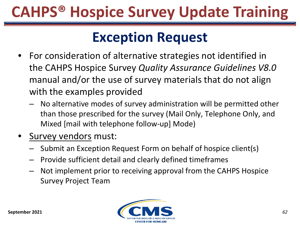#### **Exception Request**

- For consideration of alternative strategies not identified in the CAHPS Hospice Survey *Quality Assurance Guidelines V8.0*  manual and/or the use of survey materials that do not align with the examples provided
	- ‒ No alternative modes of survey administration will be permitted other than those prescribed for the survey (Mail Only, Telephone Only, and Mixed [mail with telephone follow-up] Mode)
- Survey vendors must:
	- ‒ Submit an Exception Request Form on behalf of hospice client(s)
	- ‒ Provide sufficient detail and clearly defined timeframes
	- ‒ Not implement prior to receiving approval from the CAHPS Hospice Survey Project Team

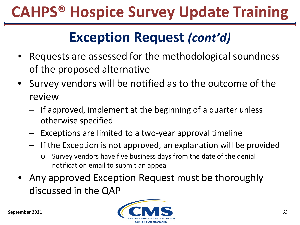#### **Exception Request** *(cont'd)*

- Requests are assessed for the methodological soundness of the proposed alternative
- Survey vendors will be notified as to the outcome of the review
	- ‒ If approved, implement at the beginning of a quarter unless otherwise specified
	- ‒ Exceptions are limited to a two-year approval timeline
	- ‒ If the Exception is not approved, an explanation will be provided
		- o Survey vendors have five business days from the date of the denial notification email to submit an appeal
- Any approved Exception Request must be thoroughly discussed in the QAP

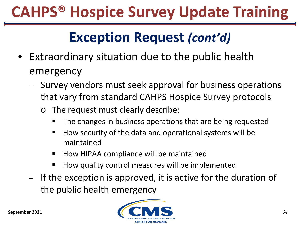### **Exception Request** *(cont'd)*

- Extraordinary situation due to the public health emergency
	- ‒ Survey vendors must seek approval for business operations that vary from standard CAHPS Hospice Survey protocols
		- o The request must clearly describe:
			- The changes in business operations that are being requested
			- How security of the data and operational systems will be maintained
			- How HIPAA compliance will be maintained
			- How quality control measures will be implemented
	- ‒ If the exception is approved, it is active for the duration of the public health emergency

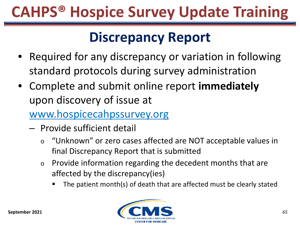### **Discrepancy Report**

- Required for any discrepancy or variation in following standard protocols during survey administration
- Complete and submit online report **immediately** upon discovery of issue at

[www.hospicecahpssurvey.org](http://www.hospicecahpssurvey.org/)

- ‒ Provide sufficient detail
	- o "Unknown" or zero cases affected are NOT acceptable values in final Discrepancy Report that is submitted
	- o Provide information regarding the decedent months that are affected by the discrepancy(ies)
		- The patient month(s) of death that are affected must be clearly stated

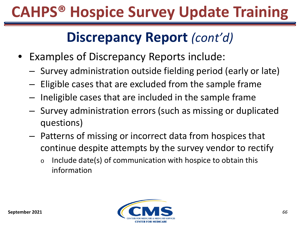#### **Discrepancy Report** *(cont'd)*

- Examples of Discrepancy Reports include:
	- ‒ Survey administration outside fielding period (early or late)
	- ‒ Eligible cases that are excluded from the sample frame
	- ‒ Ineligible cases that are included in the sample frame
	- ‒ Survey administration errors (such as missing or duplicated questions)
	- ‒ Patterns of missing or incorrect data from hospices that continue despite attempts by the survey vendor to rectify
		- $\circ$  Include date(s) of communication with hospice to obtain this information

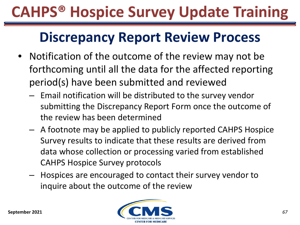#### **Discrepancy Report Review Process**

- Notification of the outcome of the review may not be forthcoming until all the data for the affected reporting period(s) have been submitted and reviewed
	- ‒ Email notification will be distributed to the survey vendor submitting the Discrepancy Report Form once the outcome of the review has been determined
	- ‒ A footnote may be applied to publicly reported CAHPS Hospice Survey results to indicate that these results are derived from data whose collection or processing varied from established CAHPS Hospice Survey protocols
	- ‒ Hospices are encouraged to contact their survey vendor to inquire about the outcome of the review

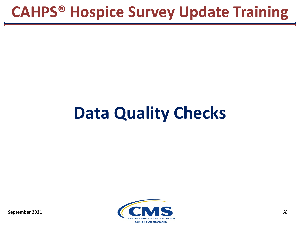# **Data Quality Checks**

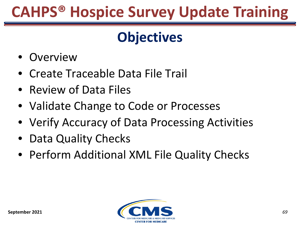### **Objectives**

- Overview
- Create Traceable Data File Trail
- Review of Data Files
- Validate Change to Code or Processes
- Verify Accuracy of Data Processing Activities
- Data Quality Checks
- Perform Additional XML File Quality Checks

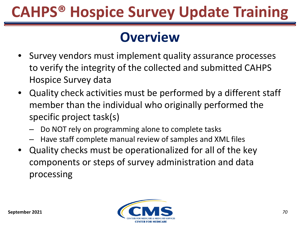#### **Overview**

- Survey vendors must implement quality assurance processes to verify the integrity of the collected and submitted CAHPS Hospice Survey data
- Quality check activities must be performed by a different staff member than the individual who originally performed the specific project task(s)
	- Do NOT rely on programming alone to complete tasks
	- ‒ Have staff complete manual review of samples and XML files
- Quality checks must be operationalized for all of the key components or steps of survey administration and data processing

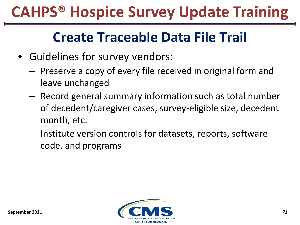#### **Create Traceable Data File Trail**

- Guidelines for survey vendors:
	- ‒ Preserve a copy of every file received in original form and leave unchanged
	- ‒ Record general summary information such as total number of decedent/caregiver cases, survey-eligible size, decedent month, etc.
	- ‒ Institute version controls for datasets, reports, software code, and programs

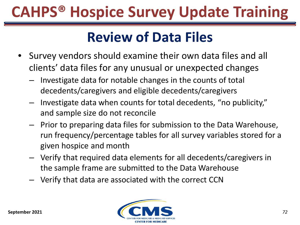#### **Review of Data Files**

- Survey vendors should examine their own data files and all clients' data files for any unusual or unexpected changes
	- ‒ Investigate data for notable changes in the counts of total decedents/caregivers and eligible decedents/caregivers
	- ‒ Investigate data when counts for total decedents, "no publicity," and sample size do not reconcile
	- ‒ Prior to preparing data files for submission to the Data Warehouse, run frequency/percentage tables for all survey variables stored for a given hospice and month
	- ‒ Verify that required data elements for all decedents/caregivers in the sample frame are submitted to the Data Warehouse
	- ‒ Verify that data are associated with the correct CCN

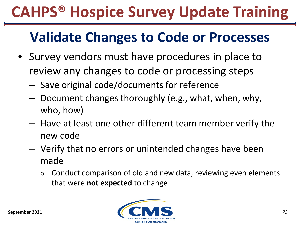### **Validate Changes to Code or Processes**

- Survey vendors must have procedures in place to review any changes to code or processing steps
	- ‒ Save original code/documents for reference
	- ‒ Document changes thoroughly (e.g., what, when, why, who, how)
	- ‒ Have at least one other different team member verify the new code
	- ‒ Verify that no errors or unintended changes have been made
		- $\circ$  Conduct comparison of old and new data, reviewing even elements that were **not expected** to change

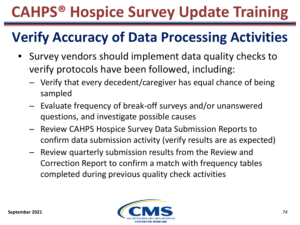### **Verify Accuracy of Data Processing Activities**

- Survey vendors should implement data quality checks to verify protocols have been followed, including:
	- ‒ Verify that every decedent/caregiver has equal chance of being sampled
	- ‒ Evaluate frequency of break-off surveys and/or unanswered questions, and investigate possible causes
	- ‒ Review CAHPS Hospice Survey Data Submission Reports to confirm data submission activity (verify results are as expected)
	- ‒ Review quarterly submission results from the Review and Correction Report to confirm a match with frequency tables completed during previous quality check activities

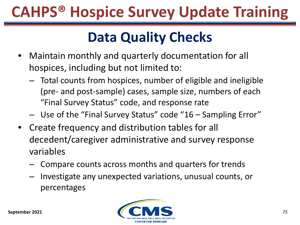### **Data Quality Checks**

- Maintain monthly and quarterly documentation for all hospices, including but not limited to:
	- ‒ Total counts from hospices, number of eligible and ineligible (pre- and post-sample) cases, sample size, numbers of each "Final Survey Status" code, and response rate
	- Use of the "Final Survey Status" code "16 Sampling Error"
- Create frequency and distribution tables for all decedent/caregiver administrative and survey response variables
	- ‒ Compare counts across months and quarters for trends
	- ‒ Investigate any unexpected variations, unusual counts, or percentages

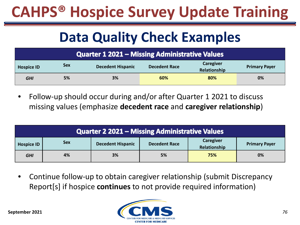### **Data Quality Check Examples**

| Quarter 1 2021 – Missing Administrative Values |            |                          |                      |                                  |                      |
|------------------------------------------------|------------|--------------------------|----------------------|----------------------------------|----------------------|
| <b>Hospice ID</b>                              | <b>Sex</b> | <b>Decedent Hispanic</b> | <b>Decedent Race</b> | <b>Caregiver</b><br>Relationship | <b>Primary Payer</b> |
| <b>GHI</b>                                     | 5%         | 3%                       | 60%                  | 80%                              | 0%                   |

• Follow-up should occur during and/or after Quarter 1 2021 to discuss missing values (emphasize **decedent race** and **caregiver relationship**)

| Quarter 2 2021 – Missing Administrative Values                                                                                           |    |    |    |     |    |  |
|------------------------------------------------------------------------------------------------------------------------------------------|----|----|----|-----|----|--|
| Caregiver<br><b>Sex</b><br><b>Decedent Hispanic</b><br><b>Decedent Race</b><br><b>Primary Payer</b><br><b>Hospice ID</b><br>Relationship |    |    |    |     |    |  |
| <b>GHI</b>                                                                                                                               | 4% | 3% | 5% | 75% | 0% |  |

• Continue follow-up to obtain caregiver relationship (submit Discrepancy Report[s] if hospice **continues** to not provide required information)

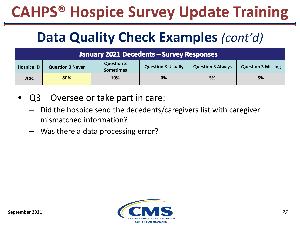### **Data Quality Check Examples** *(cont'd)*

| January 2021 Decedents - Survey Responses                                                                                                                                   |     |     |    |    |    |  |
|-----------------------------------------------------------------------------------------------------------------------------------------------------------------------------|-----|-----|----|----|----|--|
| <b>Question 3</b><br><b>Question 3 Usually</b><br><b>Question 3 Always</b><br><b>Question 3 Missing</b><br><b>Hospice ID</b><br><b>Question 3 Never</b><br><b>Sometimes</b> |     |     |    |    |    |  |
| <b>ABC</b>                                                                                                                                                                  | 80% | 10% | 0% | 5% | 5% |  |

- Q3 Oversee or take part in care:
	- Did the hospice send the decedents/caregivers list with caregiver mismatched information?
	- Was there a data processing error?

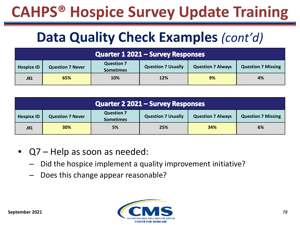### **Data Quality Check Examples** *(cont'd)*

| Quarter 1 2021 – Survey Responses                                                                                                                                           |     |     |            |    |    |
|-----------------------------------------------------------------------------------------------------------------------------------------------------------------------------|-----|-----|------------|----|----|
| <b>Question 7</b><br><b>Question 7 Usually</b><br><b>Question 7 Always</b><br><b>Question 7 Missing</b><br><b>Hospice ID</b><br><b>Question 7 Never</b><br><b>Sometimes</b> |     |     |            |    |    |
| <b>JKL</b>                                                                                                                                                                  | 65% | 10% | <b>12%</b> | 9% | 4% |

| Quarter 2 2021 - Survey Responses |                                                                                                                                                        |    |     |     |    |  |
|-----------------------------------|--------------------------------------------------------------------------------------------------------------------------------------------------------|----|-----|-----|----|--|
| <b>Hospice ID</b>                 | <b>Question 7</b><br><b>Question 7 Usually</b><br><b>Question 7 Missing</b><br><b>Question 7 Always</b><br><b>Question 7 Never</b><br><b>Sometimes</b> |    |     |     |    |  |
| <b>JKL</b>                        | 30%                                                                                                                                                    | 5% | 25% | 34% | 6% |  |

- Q7 Help as soon as needed:
	- Did the hospice implement a quality improvement initiative?
	- ‒ Does this change appear reasonable?

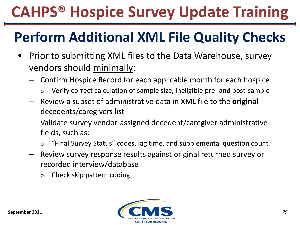### **Perform Additional XML File Quality Checks**

- Prior to submitting XML files to the Data Warehouse, survey vendors should minimally:
	- ‒ Confirm Hospice Record for each applicable month for each hospice
		- o Verify correct calculation of sample size, ineligible pre- and post-sample
	- ‒ Review a subset of administrative data in XML file to the **original**  decedents/caregivers list
	- ‒ Validate survey vendor-assigned decedent/caregiver administrative fields, such as:
		- o "Final Survey Status" codes, lag time, and supplemental question count
	- ‒ Review survey response results against original returned survey or recorded interview/database
		- o Check skip pattern coding

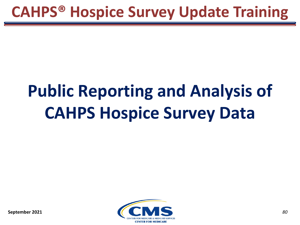# **Public Reporting and Analysis of CAHPS Hospice Survey Data**

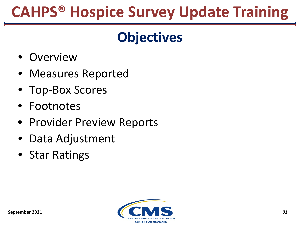#### **Objectives**

- Overview
- Measures Reported
- Top-Box Scores
- Footnotes
- Provider Preview Reports
- Data Adjustment
- Star Ratings

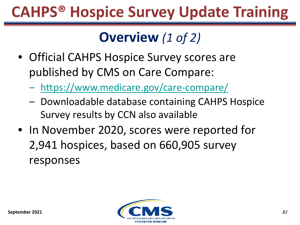### **Overview** *(1 of 2)*

- Official CAHPS Hospice Survey scores are published by CMS on Care Compare:
	- ‒ <https://www.medicare.gov/care-compare/>
	- Downloadable database containing CAHPS Hospice Survey results by CCN also available
- In November 2020, scores were reported for 2,941 hospices, based on 660,905 survey responses

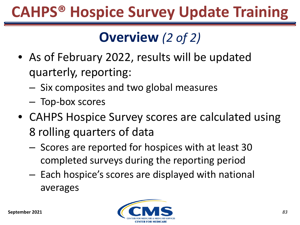### **Overview** *(2 of 2)*

- As of February 2022, results will be updated quarterly, reporting:
	- ‒ Six composites and two global measures
	- ‒ Top-box scores
- CAHPS Hospice Survey scores are calculated using 8 rolling quarters of data
	- ‒ Scores are reported for hospices with at least 30 completed surveys during the reporting period
	- ‒ Each hospice's scores are displayed with national averages

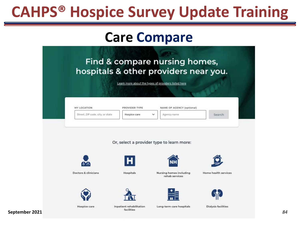#### **Care Compare**

|                                  |               | Learn more about the types of providers listed here |        |
|----------------------------------|---------------|-----------------------------------------------------|--------|
|                                  |               |                                                     |        |
| MY LOCATION                      | PROVIDER TYPE | NAME OF AGENCY (optional)                           |        |
| Street, ZIP code, city, or state | Hospice care  | $\checkmark$<br>Agency name                         | Search |
|                                  |               |                                                     |        |
|                                  |               | Or, select a provider type to learn more:           |        |
| ያን                               | н             |                                                     |        |

facilities

**September 2021**

*84*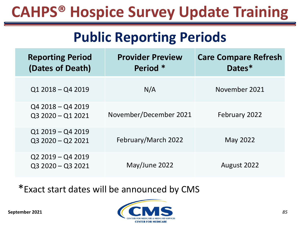#### **Public Reporting Periods**

| <b>Reporting Period</b><br>(Dates of Death) | <b>Provider Preview</b><br>Period * | <b>Care Compare Refresh</b><br>Dates* |
|---------------------------------------------|-------------------------------------|---------------------------------------|
| $Q12018 - Q42019$                           | N/A                                 | November 2021                         |
| Q4 2018 - Q4 2019<br>$Q32020 - Q12021$      | November/December 2021              | February 2022                         |
| $Q12019 - Q42019$<br>Q3 2020 - Q2 2021      | February/March 2022                 | May 2022                              |
| Q2 2019 - Q4 2019<br>$Q32020 - Q32021$      | May/June 2022                       | August 2022                           |

#### \*Exact start dates will be announced by CMS

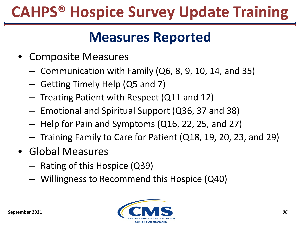#### **Measures Reported**

- Composite Measures
	- $-$  Communication with Family (Q6, 8, 9, 10, 14, and 35)
	- ‒ Getting Timely Help (Q5 and 7)
	- ‒ Treating Patient with Respect (Q11 and 12)
	- ‒ Emotional and Spiritual Support (Q36, 37 and 38)
	- ‒ Help for Pain and Symptoms (Q16, 22, 25, and 27)
	- ‒ Training Family to Care for Patient (Q18, 19, 20, 23, and 29)
- Global Measures
	- ‒ Rating of this Hospice (Q39)
	- ‒ Willingness to Recommend this Hospice (Q40)

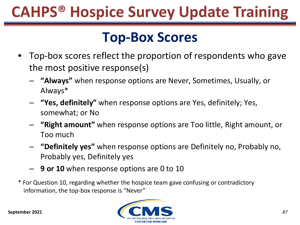#### **Top-Box Scores**

- Top-box scores reflect the proportion of respondents who gave the most positive response(s)
	- ‒ **"Always"** when response options are Never, Sometimes, Usually, or Always\*
	- ‒ **"Yes, definitely"** when response options are Yes, definitely; Yes, somewhat; or No
	- ‒ **"Right amount"** when response options are Too little, Right amount, or Too much
	- ‒ **"Definitely yes"** when response options are Definitely no, Probably no, Probably yes, Definitely yes
	- ‒ **9 or 10** when response options are 0 to 10
- \* For Question 10, regarding whether the hospice team gave confusing or contradictory information, the top-box response is "Never"



**September 2021**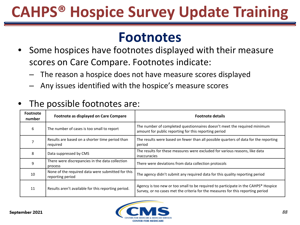#### **Footnotes**

- Some hospices have footnotes displayed with their measure scores on Care Compare. Footnotes indicate:
	- The reason a hospice does not have measure scores displayed
	- ‒ Any issues identified with the hospice's measure scores

| <b>Footnote</b><br>number | Footnote as displayed on Care Compare                                 | <b>Footnote details</b>                                                                                                                                               |
|---------------------------|-----------------------------------------------------------------------|-----------------------------------------------------------------------------------------------------------------------------------------------------------------------|
| 6                         | The number of cases is too small to report                            | The number of completed questionnaires doesn't meet the required minimum<br>amount for public reporting for this reporting period                                     |
|                           | Results are based on a shorter time period than<br>required           | The results were based on fewer than all possible quarters of data for the reporting<br>period                                                                        |
| 8                         | Data suppressed by CMS                                                | The results for these measures were excluded for various reasons, like data<br><i>inaccuracies</i>                                                                    |
| 9                         | There were discrepancies in the data collection<br>process            | There were deviations from data collection protocols                                                                                                                  |
| 10                        | None of the required data were submitted for this<br>reporting period | The agency didn't submit any required data for this quality reporting period                                                                                          |
| 11                        | Results aren't available for this reporting period.                   | Agency is too new or too small to be required to participate in the CAHPS® Hospice<br>Survey, or no cases met the criteria for the measures for this reporting period |

#### The possible footnotes are:

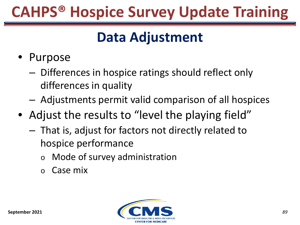### **Data Adjustment**

- Purpose
	- ‒ Differences in hospice ratings should reflect only differences in quality
	- ‒ Adjustments permit valid comparison of all hospices
- Adjust the results to "level the playing field"
	- ‒ That is, adjust for factors not directly related to hospice performance
		- o Mode of survey administration
		- o Case mix

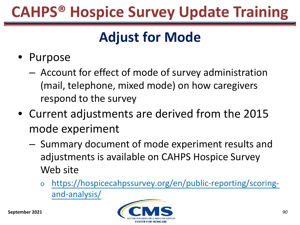### **Adjust for Mode**

- Purpose
	- ‒ Account for effect of mode of survey administration (mail, telephone, mixed mode) on how caregivers respond to the survey
- Current adjustments are derived from the 2015 mode experiment
	- ‒ Summary document of mode experiment results and adjustments is available on CAHPS Hospice Survey Web site
		- o [https://hospicecahpssurvey.org/en/public-reporting/scoring](https://hospicecahpssurvey.org/en/public-reporting/scoring-and-analysis/)and-analysis/

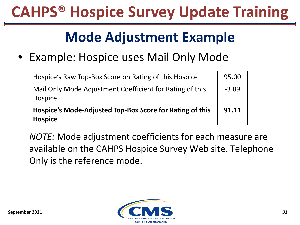#### **Mode Adjustment Example**

• Example: Hospice uses Mail Only Mode

| Hospice's Raw Top-Box Score on Rating of this Hospice                      | 95.00   |
|----------------------------------------------------------------------------|---------|
| Mail Only Mode Adjustment Coefficient for Rating of this<br>Hospice        | $-3.89$ |
| Hospice's Mode-Adjusted Top-Box Score for Rating of this<br><b>Hospice</b> | 91.11   |

*NOTE:* Mode adjustment coefficients for each measure are available on the CAHPS Hospice Survey Web site. Telephone Only is the reference mode.

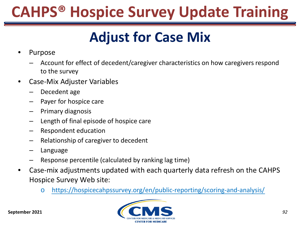### **Adjust for Case Mix**

- Purpose
	- ‒ Account for effect of decedent/caregiver characteristics on how caregivers respond to the survey
- Case-Mix Adjuster Variables
	- ‒ Decedent age
	- Payer for hospice care
	- ‒ Primary diagnosis
	- ‒ Length of final episode of hospice care
	- ‒ Respondent education
	- ‒ Relationship of caregiver to decedent
	- **Language**
	- ‒ Response percentile (calculated by ranking lag time)
- Case-mix adjustments updated with each quarterly data refresh on the CAHPS Hospice Survey Web site:
	- o <https://hospicecahpssurvey.org/en/public-reporting/scoring-and-analysis/>



**September 2021**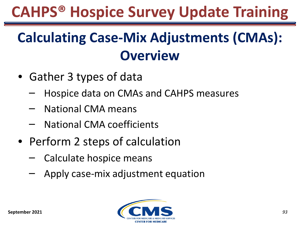### **Calculating Case-Mix Adjustments (CMAs): Overview**

- Gather 3 types of data
	- ‒ Hospice data on CMAs and CAHPS measures
	- ‒ National CMA means
	- ‒ National CMA coefficients
- Perform 2 steps of calculation
	- ‒ Calculate hospice means
	- ‒ Apply case-mix adjustment equation

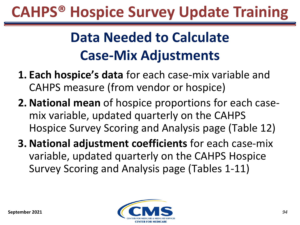### **Data Needed to Calculate Case-Mix Adjustments**

- **1. Each hospice's data** for each case-mix variable and CAHPS measure (from vendor or hospice)
- **2. National mean** of hospice proportions for each casemix variable, updated quarterly on the CAHPS Hospice Survey Scoring and Analysis page (Table 12)
- **3. National adjustment coefficients** for each case-mix variable, updated quarterly on the CAHPS Hospice Survey Scoring and Analysis page (Tables 1-11)

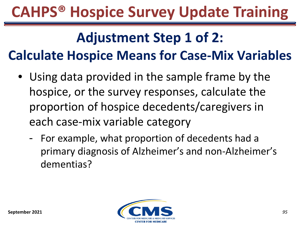#### **Adjustment Step 1 of 2: Calculate Hospice Means for Case-Mix Variables**

- Using data provided in the sample frame by the hospice, or the survey responses, calculate the proportion of hospice decedents/caregivers in each case-mix variable category
	- For example, what proportion of decedents had a primary diagnosis of Alzheimer's and non-Alzheimer's dementias?

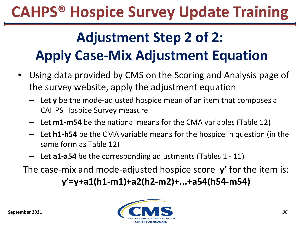### **Adjustment Step 2 of 2: Apply Case-Mix Adjustment Equation**

- Using data provided by CMS on the Scoring and Analysis page of the survey website, apply the adjustment equation
	- ‒ Let **y** be the mode-adjusted hospice mean of an item that composes a CAHPS Hospice Survey measure
	- Let **m1-m54** be the national means for the CMA variables (Table 12)
	- Let **h1-h54** be the CMA variable means for the hospice in question (in the same form as Table 12)
	- ‒ Let **a1-a54** be the corresponding adjustments (Tables 1 11)

The case-mix and mode-adjusted hospice score **y'** for the item is: **y'=y+a1(h1-m1)+a2(h2-m2)+...+a54(h54-m54)**

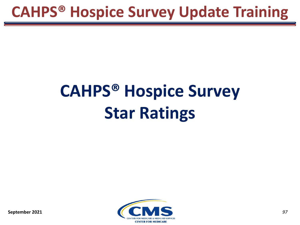# **CAHPS® Hospice Survey Star Ratings**

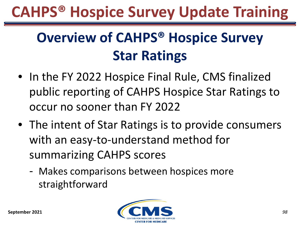### **Overview of CAHPS® Hospice Survey Star Ratings**

- In the FY 2022 Hospice Final Rule, CMS finalized public reporting of CAHPS Hospice Star Ratings to occur no sooner than FY 2022
- The intent of Star Ratings is to provide consumers with an easy-to-understand method for summarizing CAHPS scores
	- Makes comparisons between hospices more straightforward

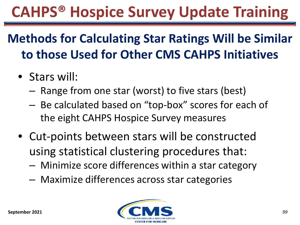#### **Methods for Calculating Star Ratings Will be Similar to those Used for Other CMS CAHPS Initiatives**

- Stars will:
	- ‒ Range from one star (worst) to five stars (best)
	- ‒ Be calculated based on "top-box" scores for each of the eight CAHPS Hospice Survey measures
- Cut-points between stars will be constructed using statistical clustering procedures that:
	- ‒ Minimize score differences within a star category
	- ‒ Maximize differences across star categories

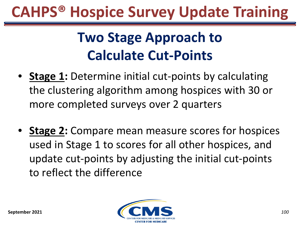### **Two Stage Approach to Calculate Cut-Points**

- **Stage 1:** Determine initial cut-points by calculating the clustering algorithm among hospices with 30 or more completed surveys over 2 quarters
- **Stage 2:** Compare mean measure scores for hospices used in Stage 1 to scores for all other hospices, and update cut-points by adjusting the initial cut-points to reflect the difference

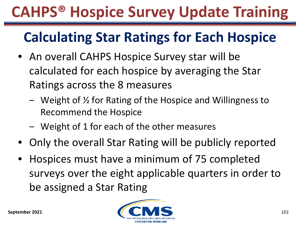### **Calculating Star Ratings for Each Hospice**

- An overall CAHPS Hospice Survey star will be calculated for each hospice by averaging the Star Ratings across the 8 measures
	- ‒ Weight of ½ for Rating of the Hospice and Willingness to Recommend the Hospice
	- ‒ Weight of 1 for each of the other measures
- Only the overall Star Rating will be publicly reported
- Hospices must have a minimum of 75 completed surveys over the eight applicable quarters in order to be assigned a Star Rating

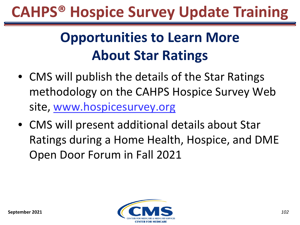### **Opportunities to Learn More About Star Ratings**

- CMS will publish the details of the Star Ratings methodology on the CAHPS Hospice Survey Web site, [www.hospicesurvey.org](http://www.hospicesurvey.org/)
- CMS will present additional details about Star Ratings during a Home Health, Hospice, and DME Open Door Forum in Fall 2021

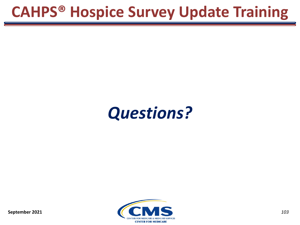### *Questions?*

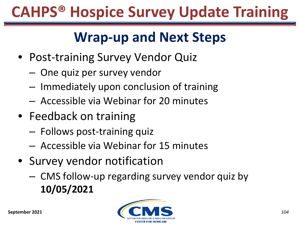### **Wrap-up and Next Steps**

- Post-training Survey Vendor Quiz
	- ‒ One quiz per survey vendor
	- ‒ Immediately upon conclusion of training
	- ‒ Accessible via Webinar for 20 minutes
- Feedback on training
	- ‒ Follows post-training quiz
	- ‒ Accessible via Webinar for 15 minutes
- Survey vendor notification
	- ‒ CMS follow-up regarding survey vendor quiz by **10/05/2021**

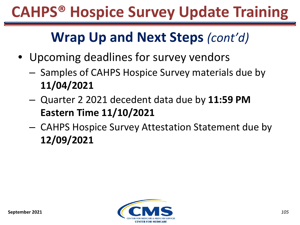#### **Wrap Up and Next Steps** *(cont'd)*

- Upcoming deadlines for survey vendors
	- ‒ Samples of CAHPS Hospice Survey materials due by **11/04/2021**
	- ‒ Quarter 2 2021 decedent data due by **11:59 PM Eastern Time 11/10/2021**
	- ‒ CAHPS Hospice Survey Attestation Statement due by **12/09/2021**

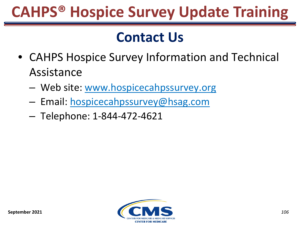#### **Contact Us**

- CAHPS Hospice Survey Information and Technical Assistance
	- ‒ Web site: [www.hospicecahpssurvey.org](http://www.hospicecahpssurvey.org/)
	- ‒ Email: hospicecahpssurvey@hsag.com
	- ‒ Telephone: 1-844-472-4621